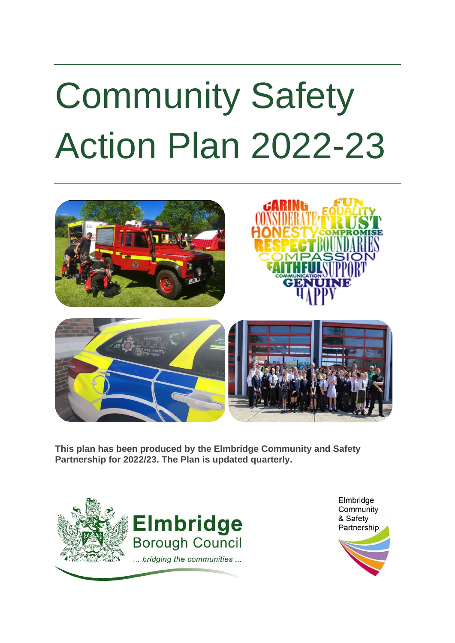# <span id="page-0-0"></span>Community Safety Action Plan 2022-23



**This plan has been produced by the Elmbridge Community and Safety Partnership for 2022/23. The Plan is updated quarterly.** 



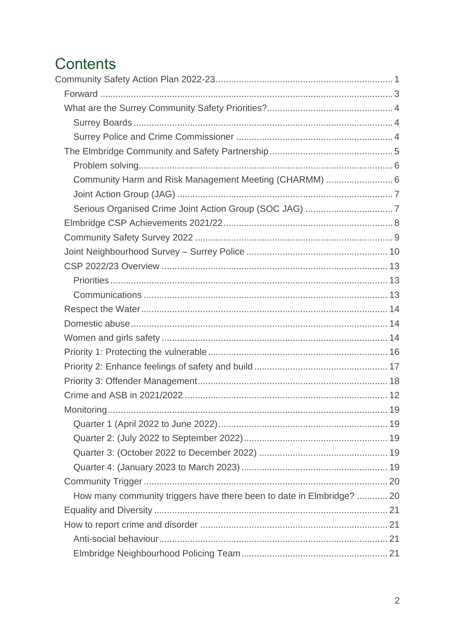# Contents

| Community Harm and Risk Management Meeting (CHARMM)  6                |  |
|-----------------------------------------------------------------------|--|
|                                                                       |  |
|                                                                       |  |
|                                                                       |  |
|                                                                       |  |
|                                                                       |  |
|                                                                       |  |
|                                                                       |  |
|                                                                       |  |
|                                                                       |  |
|                                                                       |  |
|                                                                       |  |
|                                                                       |  |
|                                                                       |  |
|                                                                       |  |
|                                                                       |  |
|                                                                       |  |
|                                                                       |  |
|                                                                       |  |
|                                                                       |  |
|                                                                       |  |
|                                                                       |  |
| How many community triggers have there been to date in Elmbridge?  20 |  |
|                                                                       |  |
|                                                                       |  |
|                                                                       |  |
|                                                                       |  |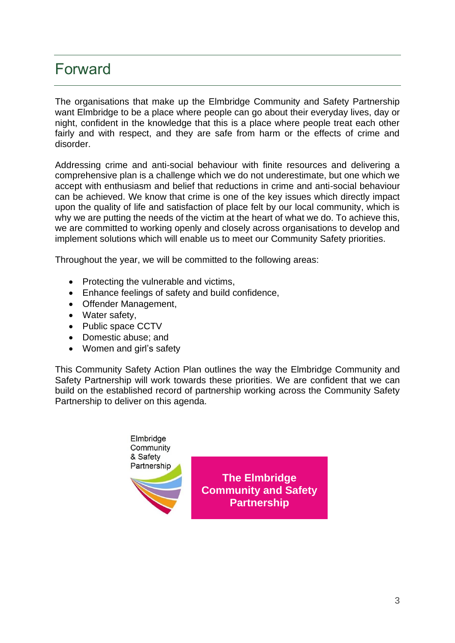### <span id="page-2-0"></span>Forward

The organisations that make up the Elmbridge Community and Safety Partnership want Elmbridge to be a place where people can go about their everyday lives, day or night, confident in the knowledge that this is a place where people treat each other fairly and with respect, and they are safe from harm or the effects of crime and disorder.

Addressing crime and anti-social behaviour with finite resources and delivering a comprehensive plan is a challenge which we do not underestimate, but one which we accept with enthusiasm and belief that reductions in crime and anti-social behaviour can be achieved. We know that crime is one of the key issues which directly impact upon the quality of life and satisfaction of place felt by our local community, which is why we are putting the needs of the victim at the heart of what we do. To achieve this, we are committed to working openly and closely across organisations to develop and implement solutions which will enable us to meet our Community Safety priorities.

Throughout the year, we will be committed to the following areas:

- Protecting the vulnerable and victims,
- Enhance feelings of safety and build confidence,
- Offender Management,
- Water safety,
- Public space CCTV
- Domestic abuse; and
- Women and girl's safety

This Community Safety Action Plan outlines the way the Elmbridge Community and Safety Partnership will work towards these priorities. We are confident that we can build on the established record of partnership working across the Community Safety Partnership to deliver on this agenda.



**The Elmbridge Community and Safety Partnership**

 $\mathbf{r}$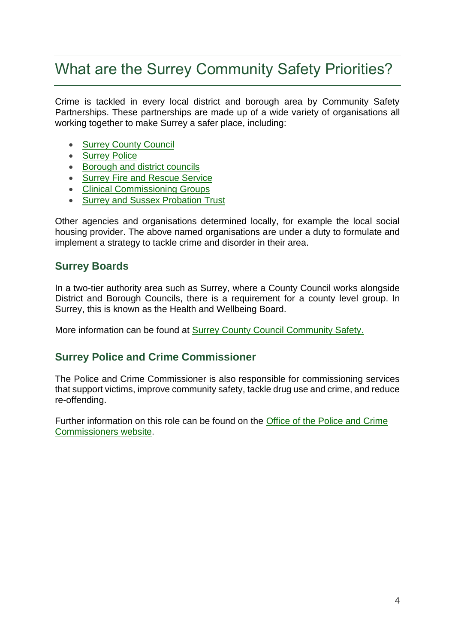### <span id="page-3-0"></span>What are the Surrey Community Safety Priorities?

Crime is tackled in every local district and borough area by Community Safety Partnerships. These partnerships are made up of a wide variety of organisations all working together to make Surrey a safer place, including:

- [Surrey County Council](http://www.surreycc.gov.uk/people-and-community/emergency-planning-and-community-safety/community-safety)
- [Surrey Police](http://www.surrey.police.uk/)
- [Borough and district councils](http://www.surreycc.gov.uk/your-council/neighbouring-district-and-borough-councils)
- [Surrey Fire and Rescue Service](http://www.surreycc.gov.uk/people-and-community/surrey-fire-and-rescue)
- [Clinical Commissioning Groups](https://www.england.nhs.uk/ccg-details/)
- [Surrey and Sussex Probation Trust](http://www.ksscrc.co.uk/)

Other agencies and organisations determined locally, for example the local social housing provider. The above named organisations are under a duty to formulate and implement a strategy to tackle crime and disorder in their area.

### <span id="page-3-1"></span>**Surrey Boards**

In a two-tier authority area such as Surrey, where a County Council works alongside District and Borough Councils, there is a requirement for a county level group. In Surrey, this is known as the Health and Wellbeing Board.

More information can be found at [Surrey County Council Community Safety.](https://www.healthysurrey.org.uk/community-safety/in-surrey)

### <span id="page-3-2"></span>**Surrey Police and Crime Commissioner**

The Police and Crime Commissioner is also responsible for commissioning services that support victims, improve community safety, tackle drug use and crime, and reduce re-offending.

Further information on this role can be found on the [Office of the Police and Crime](https://www.surrey-pcc.gov.uk/)  [Commissioners website.](https://www.surrey-pcc.gov.uk/)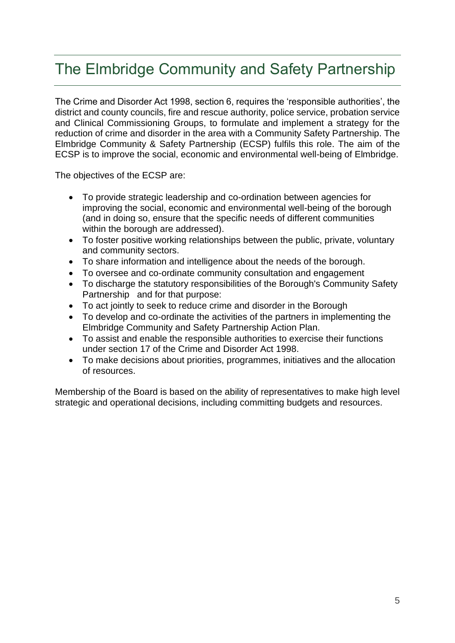### <span id="page-4-0"></span>The Elmbridge Community and Safety Partnership

The Crime and Disorder Act 1998, section 6, requires the 'responsible authorities', the district and county councils, fire and rescue authority, police service, probation service and Clinical Commissioning Groups, to formulate and implement a strategy for the reduction of crime and disorder in the area with a Community Safety Partnership. The Elmbridge Community & Safety Partnership (ECSP) fulfils this role. The aim of the ECSP is to improve the social, economic and environmental well-being of Elmbridge.

The objectives of the ECSP are:

- To provide strategic leadership and co-ordination between agencies for improving the social, economic and environmental well-being of the borough (and in doing so, ensure that the specific needs of different communities within the borough are addressed).
- To foster positive working relationships between the public, private, voluntary and community sectors.
- To share information and intelligence about the needs of the borough.
- To oversee and co-ordinate community consultation and engagement
- To discharge the statutory responsibilities of the Borough's Community Safety Partnership and for that purpose:
- To act jointly to seek to reduce crime and disorder in the Borough
- To develop and co-ordinate the activities of the partners in implementing the Elmbridge Community and Safety Partnership Action Plan.
- To assist and enable the responsible authorities to exercise their functions under section 17 of the Crime and Disorder Act 1998.
- To make decisions about priorities, programmes, initiatives and the allocation of resources.

Membership of the Board is based on the ability of representatives to make high level strategic and operational decisions, including committing budgets and resources.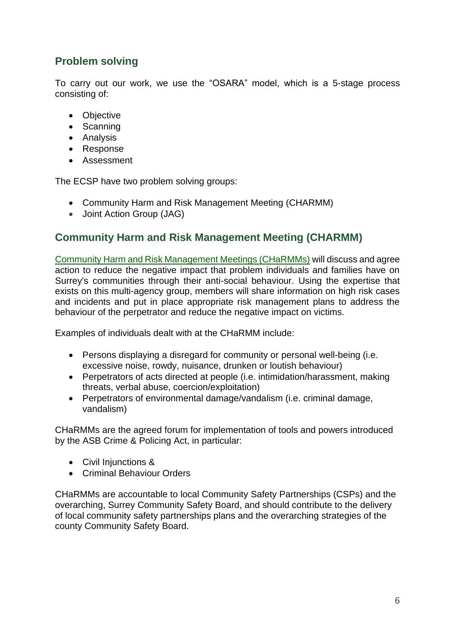### <span id="page-5-0"></span>**Problem solving**

To carry out our work, we use the "OSARA" model, which is a 5-stage process consisting of:

- Objective
- Scanning
- Analysis
- Response
- Assessment

The ECSP have two problem solving groups:

- Community Harm and Risk Management Meeting (CHARMM)
- Joint Action Group (JAG)

### <span id="page-5-1"></span>**Community Harm and Risk Management Meeting (CHARMM)**

[Community Harm and Risk Management Meetings \(CHaRMMs\)](https://www.healthysurrey.org.uk/__data/assets/pdf_file/0004/196438/Surrey-CHaRMM-Framework-and-Appendices-UPDATED-July-2017.pdf) will discuss and agree action to reduce the negative impact that problem individuals and families have on Surrey's communities through their anti-social behaviour. Using the expertise that exists on this multi-agency group, members will share information on high risk cases and incidents and put in place appropriate risk management plans to address the behaviour of the perpetrator and reduce the negative impact on victims.

Examples of individuals dealt with at the CHaRMM include:

- Persons displaying a disregard for community or personal well-being (i.e. excessive noise, rowdy, nuisance, drunken or loutish behaviour)
- Perpetrators of acts directed at people (i.e. intimidation/harassment, making threats, verbal abuse, coercion/exploitation)
- Perpetrators of environmental damage/vandalism (i.e. criminal damage, vandalism)

CHaRMMs are the agreed forum for implementation of tools and powers introduced by the ASB Crime & Policing Act, in particular:

- Civil Injunctions &
- Criminal Behaviour Orders

CHaRMMs are accountable to local Community Safety Partnerships (CSPs) and the overarching, Surrey Community Safety Board, and should contribute to the delivery of local community safety partnerships plans and the overarching strategies of the county Community Safety Board.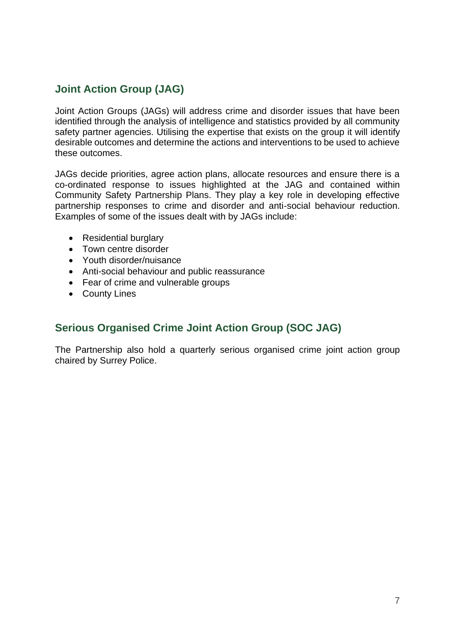### <span id="page-6-0"></span>**Joint Action Group (JAG)**

Joint Action Groups (JAGs) will address crime and disorder issues that have been identified through the analysis of intelligence and statistics provided by all community safety partner agencies. Utilising the expertise that exists on the group it will identify desirable outcomes and determine the actions and interventions to be used to achieve these outcomes.

JAGs decide priorities, agree action plans, allocate resources and ensure there is a co-ordinated response to issues highlighted at the JAG and contained within Community Safety Partnership Plans. They play a key role in developing effective partnership responses to crime and disorder and anti-social behaviour reduction. Examples of some of the issues dealt with by JAGs include:

- Residential burglary
- Town centre disorder
- Youth disorder/nuisance
- Anti-social behaviour and public reassurance
- Fear of crime and vulnerable groups
- County Lines

### <span id="page-6-1"></span>**Serious Organised Crime Joint Action Group (SOC JAG)**

The Partnership also hold a quarterly serious organised crime joint action group chaired by Surrey Police.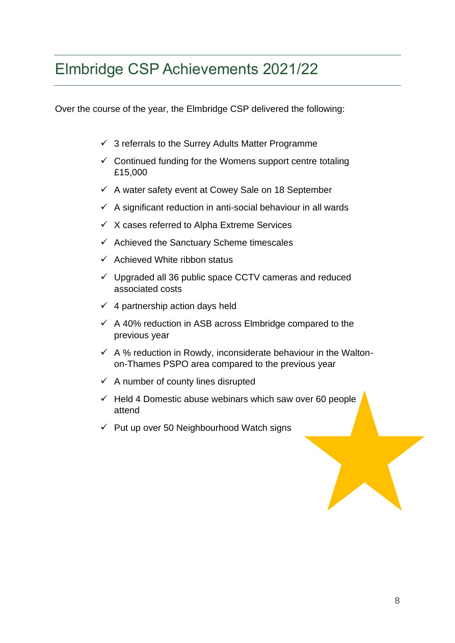### <span id="page-7-0"></span>Elmbridge CSP Achievements 2021/22

Over the course of the year, the Elmbridge CSP delivered the following:

- $\checkmark$  3 referrals to the Surrey Adults Matter Programme
- $\checkmark$  Continued funding for the Womens support centre totaling £15,000
- $\checkmark$  A water safety event at Cowey Sale on 18 September
- $\checkmark$  A significant reduction in anti-social behaviour in all wards
- $\checkmark$  X cases referred to Alpha Extreme Services
- $\checkmark$  Achieved the Sanctuary Scheme timescales
- $\checkmark$  Achieved White ribbon status
- $\checkmark$  Upgraded all 36 public space CCTV cameras and reduced associated costs
- $\checkmark$  4 partnership action days held
- $\checkmark$  A 40% reduction in ASB across Elmbridge compared to the previous year
- $\checkmark$  A % reduction in Rowdy, inconsiderate behaviour in the Waltonon-Thames PSPO area compared to the previous year
- $\checkmark$  A number of county lines disrupted
- $\checkmark$  Held 4 Domestic abuse webinars which saw over 60 people attend
- $\checkmark$  Put up over 50 Neighbourhood Watch signs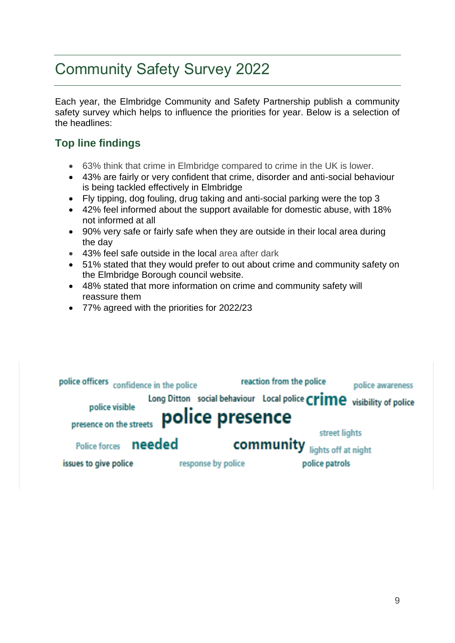# <span id="page-8-0"></span>Community Safety Survey 2022

Each year, the Elmbridge Community and Safety Partnership publish a community safety survey which helps to influence the priorities for year. Below is a selection of the headlines:

### **Top line findings**

- 63% think that crime in Elmbridge compared to crime in the UK is lower.
- 43% are fairly or very confident that crime, disorder and anti-social behaviour is being tackled effectively in Elmbridge
- Fly tipping, dog fouling, drug taking and anti-social parking were the top 3
- 42% feel informed about the support available for domestic abuse, with 18% not informed at all
- 90% very safe or fairly safe when they are outside in their local area during the day
- 43% feel safe outside in the local area after dark
- 51% stated that they would prefer to out about crime and community safety on the Elmbridge Borough council website.
- 48% stated that more information on crime and community safety will reassure them
- 77% agreed with the priorities for 2022/23

| police officers confidence in the police |                    | reaction from the police                                             | police awareness |
|------------------------------------------|--------------------|----------------------------------------------------------------------|------------------|
| police visible                           |                    | Long Ditton social behaviour Local police Crime visibility of police |                  |
| presence on the streets                  | police presence    |                                                                      |                  |
|                                          |                    | street lights                                                        |                  |
| Police forces needed                     |                    | community lights off at night                                        |                  |
| issues to give police                    | response by police | police patrols                                                       |                  |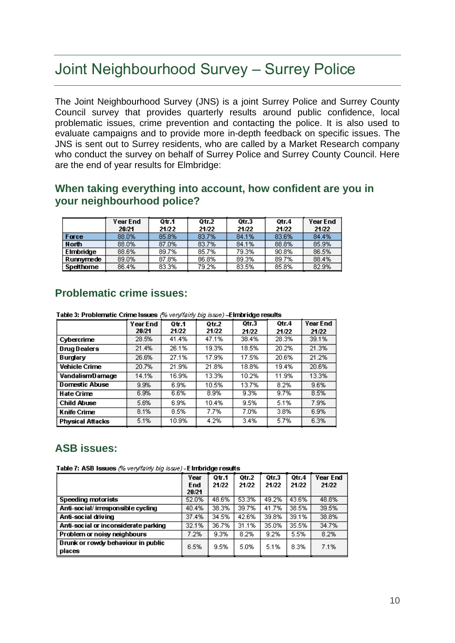### <span id="page-9-0"></span>Joint Neighbourhood Survey – Surrey Police

The Joint Neighbourhood Survey (JNS) is a joint Surrey Police and Surrey County Council survey that provides quarterly results around public confidence, local problematic issues, crime prevention and contacting the police. It is also used to evaluate campaigns and to provide more in-depth feedback on specific issues. The JNS is sent out to Surrey residents, who are called by a Market Research company who conduct the survey on behalf of Surrey Police and Surrey County Council. Here are the end of year results for Elmbridge:

#### **When taking everything into account, how confident are you in your neighbourhood police?**

|              | Year End | 0tr.1 | Qtr.2 | Otr.3 | Qtr.4 | Year End |
|--------------|----------|-------|-------|-------|-------|----------|
|              | 20/21    | 21/22 | 21/22 | 21/22 | 21/22 | 21/22    |
| Force        | 88.0%    | 85.8% | 83.7% | 84.1% | 83.6% | 84.4%    |
| <b>North</b> | 88.0%    | 87.0% | 83.7% | 84.1% | 88.8% | 85.9%    |
| Elmbridge    | 88.6%    | 89.7% | 85.7% | 79.3% | 90.8% | 86.5%    |
| Runnymede    | 89.0%    | 87.8% | 86.8% | 89.3% | 89.7% | 88.4%    |
| Spetthome    | 86.4%    | 83.3% | 79.2% | 83.5% | 85.8% | 82.9%    |

### **Problematic crime issues:**

Table 3: Problematic Crime Issues (% very/fairly big issue) -Elmbridge results

|                         | Year End<br>20/21 | 0tr.1<br>21/22 | Qtr.2<br>21/22 | Qtr.3<br>21/22 | Otr.4<br>21/22 | Year End<br>21/22 |
|-------------------------|-------------------|----------------|----------------|----------------|----------------|-------------------|
| Cybercrime              | 28.5%             | 41.4%          | 47.1%          | 38.4%          | 28.3%          | 39.1%             |
| <b>Drug Dealers</b>     | 21.4%             | 26.1%          | 19.3%          | 18.5%          | 20.2%          | 21.3%             |
| Burglary                | 26.6%             | 27.1%          | 17.9%          | 17.5%          | 20.6%          | 21.2%             |
| <b>Vehicle Crime</b>    | 20.7%             | 21.9%          | 21.8%          | 18.8%          | 19.4%          | 20.6%             |
| VandalismD amage        | 14.1%             | 16.9%          | 13.3%          | 10.2%          | 11.9%          | 13.3%             |
| <b>Domestic Abuse</b>   | 9.9%              | 6.9%           | 10.5%          | 13.7%          | 8.2%           | 9.6%              |
| Hate Crime              | 6.9%              | 6.6%           | 8.9%           | 9.3%           | 9.7%           | 8.5%              |
| <b>Child Abuse</b>      | 5.6%              | 6.9%           | 10.4%          | 9.5%           | 5.1%           | 7.9%              |
| Knife Crime             | 8.1%              | 8.5%           | 7.7%           | 7.0%           | 3.8%           | 6.9%              |
| <b>Physical Attacks</b> | 5.1%              | 10.9%          | 4.2%           | 3.4%           | 5.7%           | 6.3%              |

### **ASB issues:**

Table 7: ASB Issues (% very/fairly big issue) - E Imbridge results

|                                              | Year<br>End<br>20/21 | Qtr.1<br>21/22 | Otr.2<br>21/22 | Qtr.3<br>21/22 | Otr.4<br>21/22 | Year End<br>21/22 |
|----------------------------------------------|----------------------|----------------|----------------|----------------|----------------|-------------------|
| Speeding motorists                           | 52.0%                | 48.6%          | 53.3%          | 49.2%          | 43.6%          | 48.8%             |
| Anti-social/irresponsible cycling            | 40.4%                | 38.3%          | 39.7%          | 41.7%          | 38.5%          | 39.5%             |
| Anti-social driving                          | 37.4%                | 34.5%          | 42.6%          | 39.8%          | 39.1%          | 38.8%             |
| Anti-social or inconsiderate parking         | 32.1%                | 36.7%          | 31.1%          | 35.0%          | 35.5%          | 34.7%             |
| Problem or noisy neighbours                  | 7.2%                 | 9.3%           | 8.2%           | 9.2%           | 5.5%           | 8.2%              |
| Drunk or rowdy behaviour in public<br>places | 6.5%                 | 9.5%           | 5.0%           | 5.1%           | 8.3%           | 7.1%              |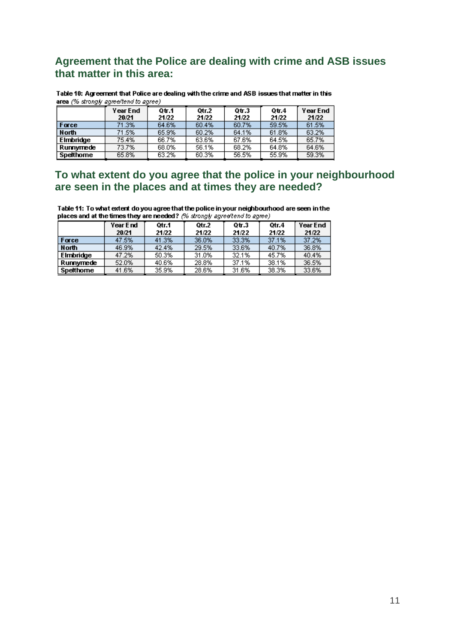### **Agreement that the Police are dealing with crime and ASB issues that matter in this area:**

Table 10: Agreement that Police are dealing with the crime and ASB issues that matter in this area (% strongly agree/tend to agree)

|              | Year End<br>20/21 | Qtr.1<br>21/22 | Otr.2<br>21/22 | $Q$ tr. $3$<br>21/22 | Qtr.4<br>21/22 | Year End<br>21/22 |
|--------------|-------------------|----------------|----------------|----------------------|----------------|-------------------|
| Force        | 71.3%             | 64.6%          | 60.4%          | 60.7%                | 59.5%          | 61.5%             |
| <b>North</b> | 71.5%             | 65.9%          | 60.2%          | 64.1%                | 61.8%          | 63.2%             |
| Elmbridge    | 75.4%             | 66.7%          | 63.6%          | 67.6%                | 64.5%          | 65.7%             |
| Runnymede    | 73.7%             | 68.0%          | 56.1%          | 68.2%                | 64.8%          | 64.6%             |
| Spetthome    | 65.8%             | 63.2%          | 60.3%          | 56.5%                | 55.9%          | 59.3%             |

### **To what extent do you agree that the police in your neighbourhood are seen in the places and at times they are needed?**

Table 11: To what extent do you agree that the police in your neighbourhood are seen in the places and at the times they are needed? (% strongly agree/tend to agree)

|                  | Year End | Otr.1 | Otr.2 | $Q$ tr. $3$ | Otr.4 | Year End |
|------------------|----------|-------|-------|-------------|-------|----------|
|                  | 20/21    | 21/22 | 21/22 | 21/22       | 21/22 | 21/22    |
| Force            | 47.5%    | 41.3% | 36.0% | 33.3%       | 37.1% | 37.2%    |
| <b>North</b>     | 46.9%    | 42.4% | 29.5% | 33.6%       | 40.7% | 36.8%    |
| <b>Elmbridge</b> | 47.2%    | 50.3% | 31.0% | 32.1%       | 45.7% | 40.4%    |
| Runnymede        | 52.0%    | 40.6% | 28.8% | 37.1%       | 38.1% | 36.5%    |
| Spetthome        | 41.6%    | 35.9% | 28.6% | 31.6%       | 38.3% | 33.6%    |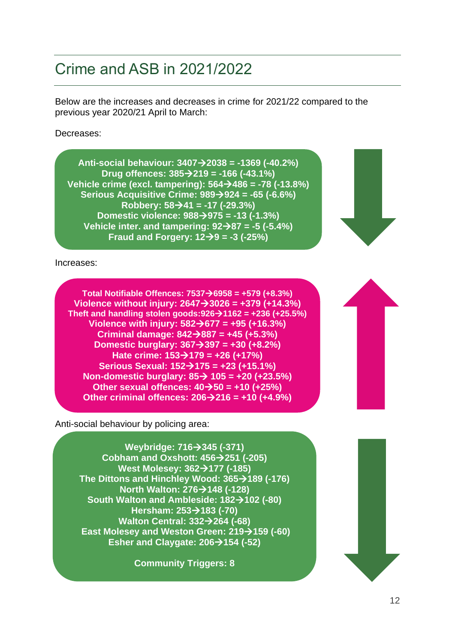# <span id="page-11-0"></span>Crime and ASB in 2021/2022

Below are the increases and decreases in crime for 2021/22 compared to the previous year 2020/21 April to March:

Decreases:

**Anti-social behaviour: 3407**→**2038 = -1369 (-40.2%) Drug offences: 385**→**219 = -166 (-43.1%) Vehicle crime (excl. tampering): 564**→**486 = -78 (-13.8%) Serious Acquisitive Crime: 989**→**924 = -65 (-6.6%) Robbery: 58**→**41 = -17 (-29.3%) Domestic violence: 988**→**975 = -13 (-1.3%) Vehicle inter. and tampering: 92**→**87 = -5 (-5.4%) Fraud and Forgery: 12**→**9 = -3 (-25%)**

Increases:

**Total Notifiable Offences: 7537**→**6958 = +579 (+8.3%) Violence without injury: 2647**→**3026 = +379 (+14.3%) Theft and handling stolen goods:926**→**1162 = +236 (+25.5%) Violence with injury: 582**→**677 = +95 (+16.3%) Criminal damage: 842**→**887 = +45 (+5.3%) Domestic burglary: 367**→**397 = +30 (+8.2%) Hate crime: 153**→**179 = +26 (+17%) Serious Sexual: 152**→**175 = +23 (+15.1%) Non-domestic burglary: 85**→ **105 = +20 (+23.5%) Other sexual offences: 40**→**50 = +10 (+25%) Other criminal offences: 206**→**216 = +10 (+4.9%)**

Anti-social behaviour by policing area:

**Weybridge: 716**→**345 (-371) Cobham and Oxshott: 456**→**251 (-205) West Molesey: 362**→**177 (-185) The Dittons and Hinchley Wood: 365**→**189 (-176) North Walton: 276**→**148 (-128) South Walton and Ambleside: 182**→**102 (-80) Hersham: 253**→**183 (-70) Walton Central: 332**→**264 (-68) East Molesey and Weston Green: 219→159 (-60) Esher and Claygate: 206**→**154 (-52)**

**Community Triggers: 8**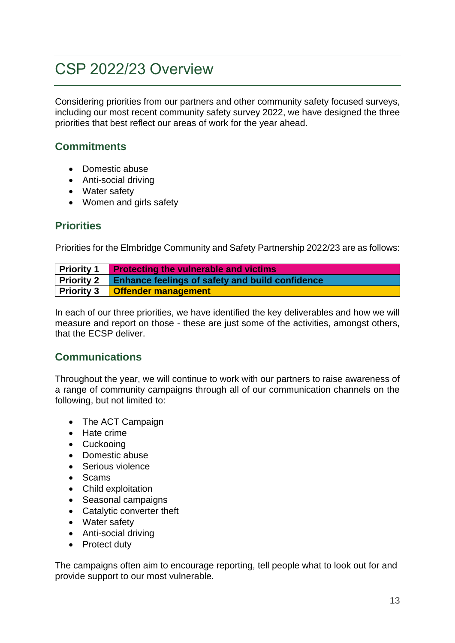# <span id="page-12-0"></span>CSP 2022/23 Overview

Considering priorities from our partners and other community safety focused surveys, including our most recent community safety survey 2022, we have designed the three priorities that best reflect our areas of work for the year ahead.

### **Commitments**

- Domestic abuse
- Anti-social driving
- Water safety
- Women and girls safety

### <span id="page-12-1"></span>**Priorities**

Priorities for the Elmbridge Community and Safety Partnership 2022/23 are as follows:

| <b>Priority 1</b> Protecting the vulnerable and victims           |
|-------------------------------------------------------------------|
| <b>Priority 2</b> Enhance feelings of safety and build confidence |
| Priority 3 <b>Offender management</b>                             |

In each of our three priorities, we have identified the key deliverables and how we will measure and report on those - these are just some of the activities, amongst others, that the ECSP deliver.

### <span id="page-12-2"></span>**Communications**

Throughout the year, we will continue to work with our partners to raise awareness of a range of community campaigns through all of our communication channels on the following, but not limited to:

- The ACT Campaign
- Hate crime
- Cuckooing
- Domestic abuse
- Serious violence
- Scams
- Child exploitation
- Seasonal campaigns
- Catalytic converter theft
- Water safety
- Anti-social driving
- Protect duty

The campaigns often aim to encourage reporting, tell people what to look out for and provide support to our most vulnerable.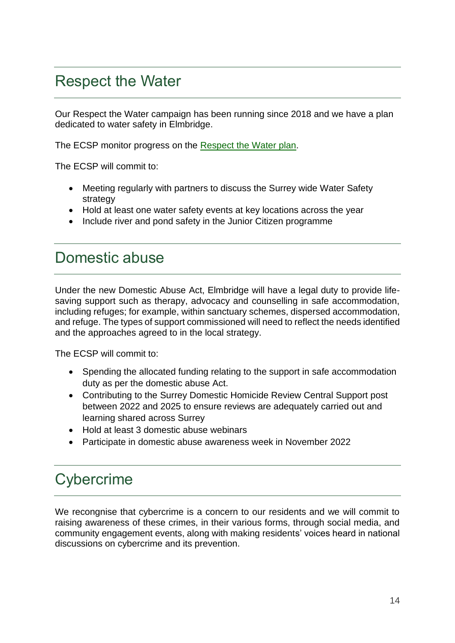### <span id="page-13-0"></span>Respect the Water

Our Respect the Water campaign has been running since 2018 and we have a plan dedicated to water safety in Elmbridge.

The ECSP monitor progress on the [Respect the Water plan.](https://www.elmbridge.gov.uk/safety/)

The ECSP will commit to:

- Meeting regularly with partners to discuss the Surrey wide Water Safety strategy
- Hold at least one water safety events at key locations across the year
- Include river and pond safety in the Junior Citizen programme

### <span id="page-13-1"></span>Domestic abuse

Under the new Domestic Abuse Act, Elmbridge will have a legal duty to provide lifesaving support such as therapy, advocacy and counselling in safe accommodation, including refuges; for example, within sanctuary schemes, dispersed accommodation, and refuge. The types of support commissioned will need to reflect the needs identified and the approaches agreed to in the local strategy.

The ECSP will commit to:

- Spending the allocated funding relating to the support in safe accommodation duty as per the domestic abuse Act.
- Contributing to the Surrey Domestic Homicide Review Central Support post between 2022 and 2025 to ensure reviews are adequately carried out and learning shared across Surrey
- Hold at least 3 domestic abuse webinars
- Participate in domestic abuse awareness week in November 2022

### <span id="page-13-2"></span>**Cybercrime**

We recongnise that cybercrime is a concern to our residents and we will commit to raising awareness of these crimes, in their various forms, through social media, and community engagement events, along with making residents' voices heard in national discussions on cybercrime and its prevention.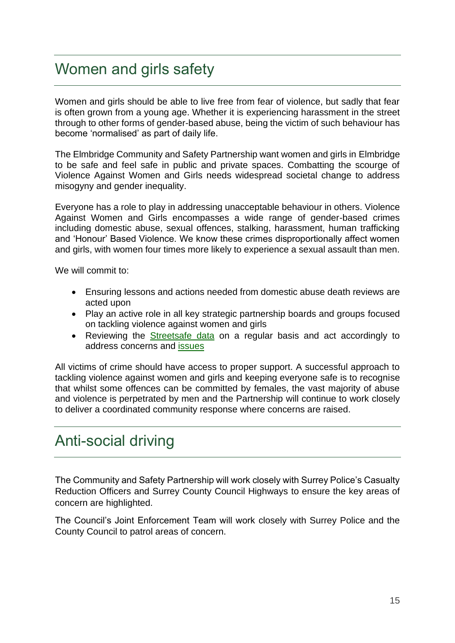### Women and girls safety

Women and girls should be able to live free from fear of violence, but sadly that fear is often grown from a young age. Whether it is experiencing harassment in the street through to other forms of gender-based abuse, being the victim of such behaviour has become 'normalised' as part of daily life.

The Elmbridge Community and Safety Partnership want women and girls in Elmbridge to be safe and feel safe in public and private spaces. Combatting the scourge of Violence Against Women and Girls needs widespread societal change to address misogyny and gender inequality.

Everyone has a role to play in addressing unacceptable behaviour in others. Violence Against Women and Girls encompasses a wide range of gender-based crimes including domestic abuse, sexual offences, stalking, harassment, human trafficking and 'Honour' Based Violence. We know these crimes disproportionally affect women and girls, with women four times more likely to experience a sexual assault than men.

We will commit to:

- Ensuring lessons and actions needed from domestic abuse death reviews are acted upon
- Play an active role in all key strategic partnership boards and groups focused on tackling violence against women and girls
- Reviewing the [Streetsafe data](https://streetsafetool.com/) on a regular basis and act accordingly to address concerns and [issues](https://www.surrey.police.uk/news/surrey/news/2021/04/surrey-police-launches-survey-to-determine-how-safe-women-feel-in-the-county/)

All victims of crime should have access to proper support. A successful approach to tackling violence against women and girls and keeping everyone safe is to recognise that whilst some offences can be committed by females, the vast majority of abuse and violence is perpetrated by men and the Partnership will continue to work closely to deliver a coordinated community response where concerns are raised.

### Anti-social driving

The Community and Safety Partnership will work closely with Surrey Police's Casualty Reduction Officers and Surrey County Council Highways to ensure the key areas of concern are highlighted.

The Council's Joint Enforcement Team will work closely with Surrey Police and the County Council to patrol areas of concern.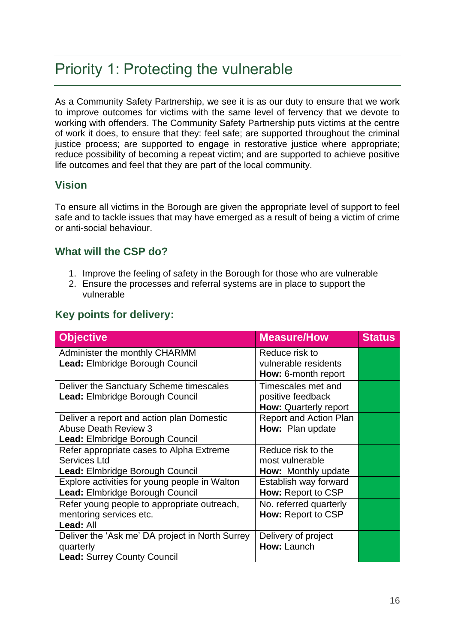### <span id="page-15-0"></span>Priority 1: Protecting the vulnerable

As a Community Safety Partnership, we see it is as our duty to ensure that we work to improve outcomes for victims with the same level of fervency that we devote to working with offenders. The Community Safety Partnership puts victims at the centre of work it does, to ensure that they: feel safe; are supported throughout the criminal justice process; are supported to engage in restorative justice where appropriate; reduce possibility of becoming a repeat victim; and are supported to achieve positive life outcomes and feel that they are part of the local community.

### **Vision**

To ensure all victims in the Borough are given the appropriate level of support to feel safe and to tackle issues that may have emerged as a result of being a victim of crime or anti-social behaviour.

### **What will the CSP do?**

- 1. Improve the feeling of safety in the Borough for those who are vulnerable
- 2. Ensure the processes and referral systems are in place to support the vulnerable

### **Key points for delivery:**

| <b>Objective</b>                                | <b>Measure/How</b>            | <b>Status</b> |
|-------------------------------------------------|-------------------------------|---------------|
| Administer the monthly CHARMM                   | Reduce risk to                |               |
| Lead: Elmbridge Borough Council                 | vulnerable residents          |               |
|                                                 | How: 6-month report           |               |
| Deliver the Sanctuary Scheme timescales         | Timescales met and            |               |
| Lead: Elmbridge Borough Council                 | positive feedback             |               |
|                                                 | <b>How: Quarterly report</b>  |               |
| Deliver a report and action plan Domestic       | <b>Report and Action Plan</b> |               |
| <b>Abuse Death Review 3</b>                     | How: Plan update              |               |
| <b>Lead: Elmbridge Borough Council</b>          |                               |               |
| Refer appropriate cases to Alpha Extreme        | Reduce risk to the            |               |
| Services Ltd                                    | most vulnerable               |               |
| <b>Lead: Elmbridge Borough Council</b>          | <b>How:</b> Monthly update    |               |
| Explore activities for young people in Walton   | Establish way forward         |               |
| Lead: Elmbridge Borough Council                 | How: Report to CSP            |               |
| Refer young people to appropriate outreach,     | No. referred quarterly        |               |
| mentoring services etc.                         | How: Report to CSP            |               |
| Lead: All                                       |                               |               |
| Deliver the 'Ask me' DA project in North Surrey | Delivery of project           |               |
| quarterly                                       | How: Launch                   |               |
| <b>Lead: Surrey County Council</b>              |                               |               |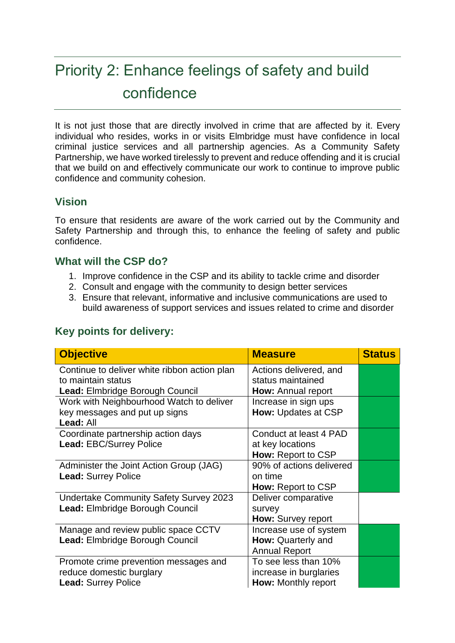# <span id="page-16-0"></span>Priority 2: Enhance feelings of safety and build confidence

It is not just those that are directly involved in crime that are affected by it. Every individual who resides, works in or visits Elmbridge must have confidence in local criminal justice services and all partnership agencies. As a Community Safety Partnership, we have worked tirelessly to prevent and reduce offending and it is crucial that we build on and effectively communicate our work to continue to improve public confidence and community cohesion.

### **Vision**

To ensure that residents are aware of the work carried out by the Community and Safety Partnership and through this, to enhance the feeling of safety and public confidence.

### **What will the CSP do?**

- 1. Improve confidence in the CSP and its ability to tackle crime and disorder
- 2. Consult and engage with the community to design better services
- 3. Ensure that relevant, informative and inclusive communications are used to build awareness of support services and issues related to crime and disorder

| <b>Objective</b>                                                          | <b>Measure</b>                                | <b>Status</b> |
|---------------------------------------------------------------------------|-----------------------------------------------|---------------|
| Continue to deliver white ribbon action plan<br>to maintain status        | Actions delivered, and<br>status maintained   |               |
| <b>Lead: Elmbridge Borough Council</b>                                    | <b>How:</b> Annual report                     |               |
| Work with Neighbourhood Watch to deliver<br>key messages and put up signs | Increase in sign ups<br>How: Updates at CSP   |               |
| Lead: All                                                                 |                                               |               |
| Coordinate partnership action days                                        | Conduct at least 4 PAD                        |               |
| Lead: EBC/Surrey Police                                                   | at key locations<br><b>How: Report to CSP</b> |               |
| Administer the Joint Action Group (JAG)                                   | 90% of actions delivered                      |               |
| <b>Lead: Surrey Police</b>                                                | on time<br>How: Report to CSP                 |               |
| <b>Undertake Community Safety Survey 2023</b>                             | Deliver comparative                           |               |
| Lead: Elmbridge Borough Council                                           | survey<br>How: Survey report                  |               |
| Manage and review public space CCTV                                       | Increase use of system                        |               |
| Lead: Elmbridge Borough Council                                           | How: Quarterly and<br><b>Annual Report</b>    |               |
| Promote crime prevention messages and                                     | To see less than 10%                          |               |
| reduce domestic burglary<br><b>Lead: Surrey Police</b>                    | increase in burglaries<br>How: Monthly report |               |
|                                                                           |                                               |               |

### **Key points for delivery:**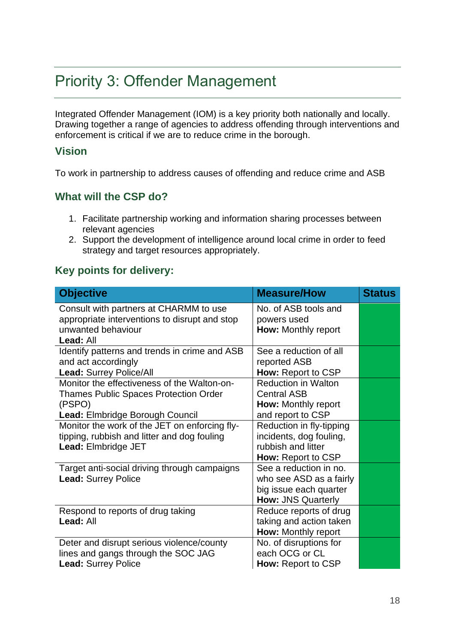# <span id="page-17-0"></span>Priority 3: Offender Management

Integrated Offender Management (IOM) is a key priority both nationally and locally. Drawing together a range of agencies to address offending through interventions and enforcement is critical if we are to reduce crime in the borough.

#### **Vision**

To work in partnership to address causes of offending and reduce crime and ASB

### **What will the CSP do?**

- 1. Facilitate partnership working and information sharing processes between relevant agencies
- 2. Support the development of intelligence around local crime in order to feed strategy and target resources appropriately.

### **Key points for delivery:**

| <b>Objective</b>                                                                                                                         | <b>Measure/How</b>                                                                                       | <b>Status</b> |
|------------------------------------------------------------------------------------------------------------------------------------------|----------------------------------------------------------------------------------------------------------|---------------|
| Consult with partners at CHARMM to use<br>appropriate interventions to disrupt and stop<br>unwanted behaviour<br>Lead: All               | No. of ASB tools and<br>powers used<br><b>How:</b> Monthly report                                        |               |
| Identify patterns and trends in crime and ASB<br>and act accordingly<br><b>Lead: Surrey Police/All</b>                                   | See a reduction of all<br>reported ASB<br><b>How: Report to CSP</b>                                      |               |
| Monitor the effectiveness of the Walton-on-<br><b>Thames Public Spaces Protection Order</b><br>(PSPO)<br>Lead: Elmbridge Borough Council | <b>Reduction in Walton</b><br><b>Central ASB</b><br><b>How:</b> Monthly report<br>and report to CSP      |               |
| Monitor the work of the JET on enforcing fly-<br>tipping, rubbish and litter and dog fouling<br>Lead: Elmbridge JET                      | Reduction in fly-tipping<br>incidents, dog fouling,<br>rubbish and litter<br><b>How: Report to CSP</b>   |               |
| Target anti-social driving through campaigns<br><b>Lead: Surrey Police</b>                                                               | See a reduction in no.<br>who see ASD as a fairly<br>big issue each quarter<br><b>How: JNS Quarterly</b> |               |
| Respond to reports of drug taking<br>Lead: All                                                                                           | Reduce reports of drug<br>taking and action taken<br>How: Monthly report                                 |               |
| Deter and disrupt serious violence/county<br>lines and gangs through the SOC JAG<br><b>Lead: Surrey Police</b>                           | No. of disruptions for<br>each OCG or CL<br><b>How: Report to CSP</b>                                    |               |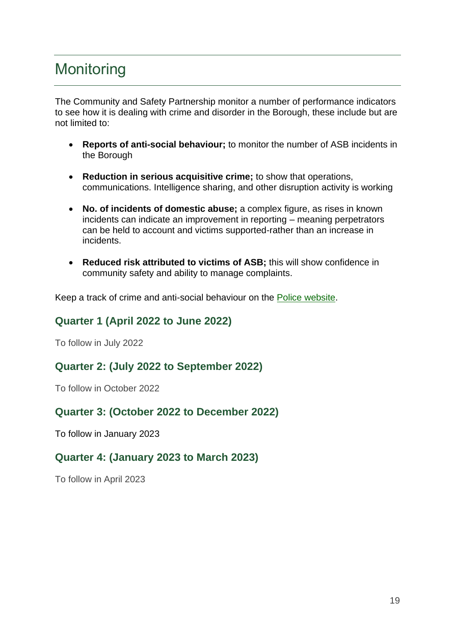# <span id="page-18-0"></span>**Monitoring**

The Community and Safety Partnership monitor a number of performance indicators to see how it is dealing with crime and disorder in the Borough, these include but are not limited to:

- **Reports of anti-social behaviour;** to monitor the number of ASB incidents in the Borough
- **Reduction in serious acquisitive crime;** to show that operations, communications. Intelligence sharing, and other disruption activity is working
- **No. of incidents of domestic abuse;** a complex figure, as rises in known incidents can indicate an improvement in reporting – meaning perpetrators can be held to account and victims supported-rather than an increase in incidents.
- **Reduced risk attributed to victims of ASB;** this will show confidence in community safety and ability to manage complaints.

Keep a track of crime and anti-social behaviour on the [Police website.](https://www.police.uk/)

### <span id="page-18-1"></span>**Quarter 1 (April 2022 to June 2022)**

To follow in July 2022

### <span id="page-18-2"></span>**Quarter 2: (July 2022 to September 2022)**

To follow in October 2022

### <span id="page-18-3"></span>**Quarter 3: (October 2022 to December 2022)**

To follow in January 2023

### <span id="page-18-4"></span>**Quarter 4: (January 2023 to March 2023)**

To follow in April 2023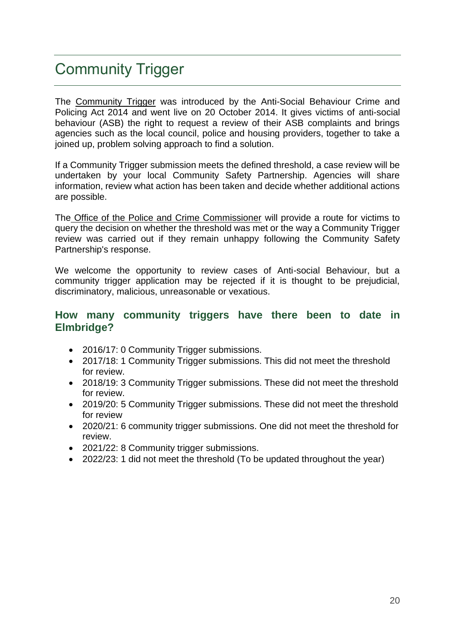# <span id="page-19-0"></span>Community Trigger

The [Community Trigger](https://www.healthysurrey.org.uk/community-safety/asb/what-to-do/community-trigger) was introduced by the Anti-Social Behaviour Crime and Policing Act 2014 and went live on 20 October 2014. It gives victims of anti-social behaviour (ASB) the right to request a review of their ASB complaints and brings agencies such as the local council, police and housing providers, together to take a joined up, problem solving approach to find a solution.

If a Community Trigger submission meets the defined threshold, a case review will be undertaken by your local Community Safety Partnership. Agencies will share information, review what action has been taken and decide whether additional actions are possible.

The [Office of the Police and Crime Commissioner](http://www.surrey-pcc.gov.uk/projects/community-trigger) will provide a route for victims to query the decision on whether the threshold was met or the way a Community Trigger review was carried out if they remain unhappy following the Community Safety Partnership's response.

We welcome the opportunity to review cases of Anti-social Behaviour, but a community trigger application may be rejected if it is thought to be prejudicial, discriminatory, malicious, unreasonable or vexatious.

#### <span id="page-19-1"></span>**How many community triggers have there been to date in Elmbridge?**

- 2016/17: 0 Community Trigger submissions.
- 2017/18: 1 Community Trigger submissions. This did not meet the threshold for review.
- 2018/19: 3 Community Trigger submissions. These did not meet the threshold for review.
- 2019/20: 5 Community Trigger submissions. These did not meet the threshold for review
- 2020/21: 6 community trigger submissions. One did not meet the threshold for review.
- 2021/22: 8 Community trigger submissions.
- 2022/23: 1 did not meet the threshold (To be updated throughout the year)